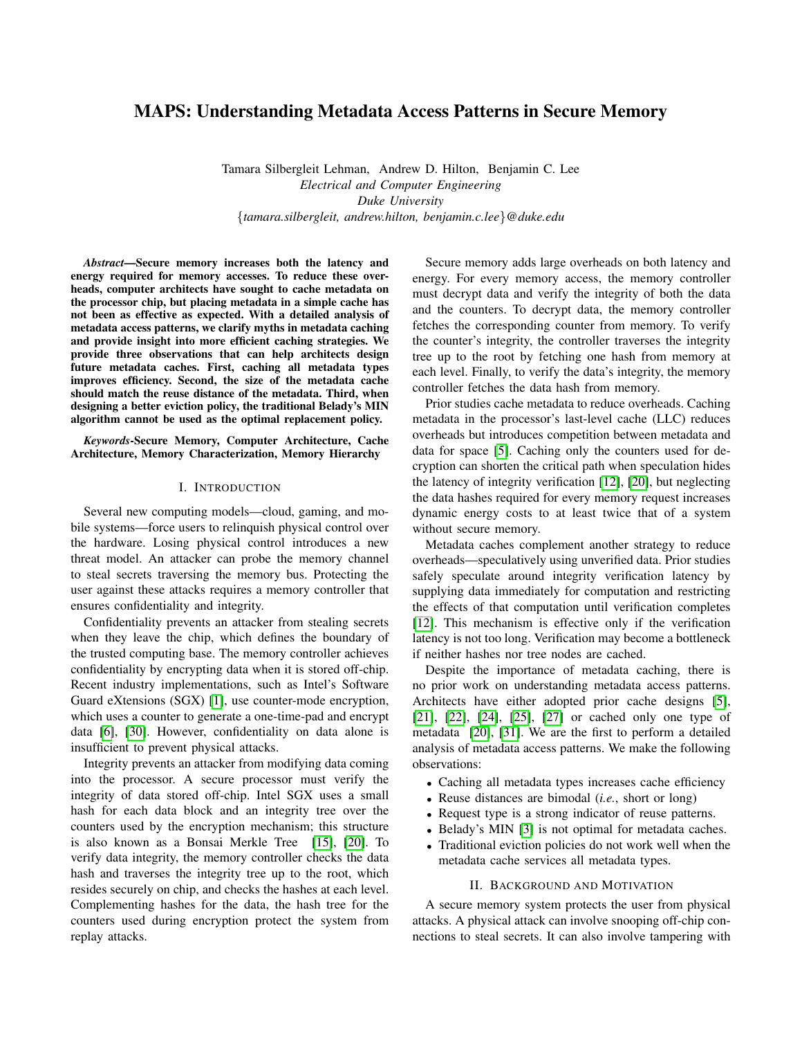# MAPS: Understanding Metadata Access Patterns in Secure Memory

Tamara Silbergleit Lehman, Andrew D. Hilton, Benjamin C. Lee *Electrical and Computer Engineering Duke University* {*tamara.silbergleit, andrew.hilton, benjamin.c.lee*}*@duke.edu*

*Abstract*—Secure memory increases both the latency and energy required for memory accesses. To reduce these overheads, computer architects have sought to cache metadata on the processor chip, but placing metadata in a simple cache has not been as effective as expected. With a detailed analysis of metadata access patterns, we clarify myths in metadata caching and provide insight into more efficient caching strategies. We provide three observations that can help architects design future metadata caches. First, caching all metadata types improves efficiency. Second, the size of the metadata cache should match the reuse distance of the metadata. Third, when designing a better eviction policy, the traditional Belady's MIN algorithm cannot be used as the optimal replacement policy.

*Keywords*-Secure Memory, Computer Architecture, Cache Architecture, Memory Characterization, Memory Hierarchy

#### I. INTRODUCTION

Several new computing models—cloud, gaming, and mobile systems—force users to relinquish physical control over the hardware. Losing physical control introduces a new threat model. An attacker can probe the memory channel to steal secrets traversing the memory bus. Protecting the user against these attacks requires a memory controller that ensures confidentiality and integrity.

Confidentiality prevents an attacker from stealing secrets when they leave the chip, which defines the boundary of the trusted computing base. The memory controller achieves confidentiality by encrypting data when it is stored off-chip. Recent industry implementations, such as Intel's Software Guard eXtensions (SGX) [\[1\]](#page-9-0), use counter-mode encryption, which uses a counter to generate a one-time-pad and encrypt data [\[6\]](#page-10-0), [\[30\]](#page-10-1). However, confidentiality on data alone is insufficient to prevent physical attacks.

Integrity prevents an attacker from modifying data coming into the processor. A secure processor must verify the integrity of data stored off-chip. Intel SGX uses a small hash for each data block and an integrity tree over the counters used by the encryption mechanism; this structure is also known as a Bonsai Merkle Tree [\[15\]](#page-10-2), [\[20\]](#page-10-3). To verify data integrity, the memory controller checks the data hash and traverses the integrity tree up to the root, which resides securely on chip, and checks the hashes at each level. Complementing hashes for the data, the hash tree for the counters used during encryption protect the system from replay attacks.

Secure memory adds large overheads on both latency and energy. For every memory access, the memory controller must decrypt data and verify the integrity of both the data and the counters. To decrypt data, the memory controller fetches the corresponding counter from memory. To verify the counter's integrity, the controller traverses the integrity tree up to the root by fetching one hash from memory at each level. Finally, to verify the data's integrity, the memory controller fetches the data hash from memory.

Prior studies cache metadata to reduce overheads. Caching metadata in the processor's last-level cache (LLC) reduces overheads but introduces competition between metadata and data for space [\[5\]](#page-10-4). Caching only the counters used for decryption can shorten the critical path when speculation hides the latency of integrity verification [\[12\]](#page-10-5), [\[20\]](#page-10-3), but neglecting the data hashes required for every memory request increases dynamic energy costs to at least twice that of a system without secure memory.

Metadata caches complement another strategy to reduce overheads—speculatively using unverified data. Prior studies safely speculate around integrity verification latency by supplying data immediately for computation and restricting the effects of that computation until verification completes [\[12\]](#page-10-5). This mechanism is effective only if the verification latency is not too long. Verification may become a bottleneck if neither hashes nor tree nodes are cached.

Despite the importance of metadata caching, there is no prior work on understanding metadata access patterns. Architects have either adopted prior cache designs [\[5\]](#page-10-4), [\[21\]](#page-10-6), [\[22\]](#page-10-7), [\[24\]](#page-10-8), [\[25\]](#page-10-9), [\[27\]](#page-10-10) or cached only one type of metadata [\[20\]](#page-10-3), [\[31\]](#page-10-11). We are the first to perform a detailed analysis of metadata access patterns. We make the following observations:

- Caching all metadata types increases cache efficiency
- Reuse distances are bimodal (*i.e.*, short or long)
- Request type is a strong indicator of reuse patterns.
- Belady's MIN [\[3\]](#page-10-12) is not optimal for metadata caches.
- Traditional eviction policies do not work well when the metadata cache services all metadata types.

#### II. BACKGROUND AND MOTIVATION

A secure memory system protects the user from physical attacks. A physical attack can involve snooping off-chip connections to steal secrets. It can also involve tampering with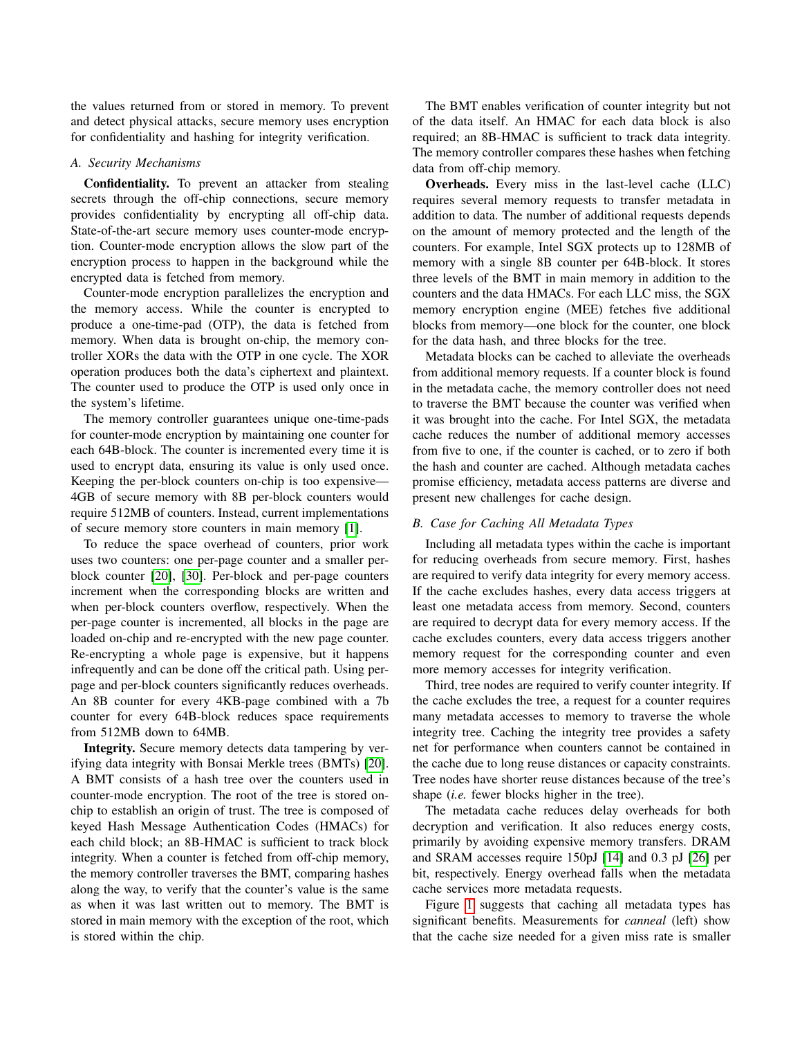the values returned from or stored in memory. To prevent and detect physical attacks, secure memory uses encryption for confidentiality and hashing for integrity verification.

### *A. Security Mechanisms*

Confidentiality. To prevent an attacker from stealing secrets through the off-chip connections, secure memory provides confidentiality by encrypting all off-chip data. State-of-the-art secure memory uses counter-mode encryption. Counter-mode encryption allows the slow part of the encryption process to happen in the background while the encrypted data is fetched from memory.

Counter-mode encryption parallelizes the encryption and the memory access. While the counter is encrypted to produce a one-time-pad (OTP), the data is fetched from memory. When data is brought on-chip, the memory controller XORs the data with the OTP in one cycle. The XOR operation produces both the data's ciphertext and plaintext. The counter used to produce the OTP is used only once in the system's lifetime.

The memory controller guarantees unique one-time-pads for counter-mode encryption by maintaining one counter for each 64B-block. The counter is incremented every time it is used to encrypt data, ensuring its value is only used once. Keeping the per-block counters on-chip is too expensive— 4GB of secure memory with 8B per-block counters would require 512MB of counters. Instead, current implementations of secure memory store counters in main memory [\[1\]](#page-9-0).

To reduce the space overhead of counters, prior work uses two counters: one per-page counter and a smaller perblock counter [\[20\]](#page-10-3), [\[30\]](#page-10-1). Per-block and per-page counters increment when the corresponding blocks are written and when per-block counters overflow, respectively. When the per-page counter is incremented, all blocks in the page are loaded on-chip and re-encrypted with the new page counter. Re-encrypting a whole page is expensive, but it happens infrequently and can be done off the critical path. Using perpage and per-block counters significantly reduces overheads. An 8B counter for every 4KB-page combined with a 7b counter for every 64B-block reduces space requirements from 512MB down to 64MB.

Integrity. Secure memory detects data tampering by verifying data integrity with Bonsai Merkle trees (BMTs) [\[20\]](#page-10-3). A BMT consists of a hash tree over the counters used in counter-mode encryption. The root of the tree is stored onchip to establish an origin of trust. The tree is composed of keyed Hash Message Authentication Codes (HMACs) for each child block; an 8B-HMAC is sufficient to track block integrity. When a counter is fetched from off-chip memory, the memory controller traverses the BMT, comparing hashes along the way, to verify that the counter's value is the same as when it was last written out to memory. The BMT is stored in main memory with the exception of the root, which is stored within the chip.

The BMT enables verification of counter integrity but not of the data itself. An HMAC for each data block is also required; an 8B-HMAC is sufficient to track data integrity. The memory controller compares these hashes when fetching data from off-chip memory.

Overheads. Every miss in the last-level cache (LLC) requires several memory requests to transfer metadata in addition to data. The number of additional requests depends on the amount of memory protected and the length of the counters. For example, Intel SGX protects up to 128MB of memory with a single 8B counter per 64B-block. It stores three levels of the BMT in main memory in addition to the counters and the data HMACs. For each LLC miss, the SGX memory encryption engine (MEE) fetches five additional blocks from memory—one block for the counter, one block for the data hash, and three blocks for the tree.

Metadata blocks can be cached to alleviate the overheads from additional memory requests. If a counter block is found in the metadata cache, the memory controller does not need to traverse the BMT because the counter was verified when it was brought into the cache. For Intel SGX, the metadata cache reduces the number of additional memory accesses from five to one, if the counter is cached, or to zero if both the hash and counter are cached. Although metadata caches promise efficiency, metadata access patterns are diverse and present new challenges for cache design.

#### *B. Case for Caching All Metadata Types*

Including all metadata types within the cache is important for reducing overheads from secure memory. First, hashes are required to verify data integrity for every memory access. If the cache excludes hashes, every data access triggers at least one metadata access from memory. Second, counters are required to decrypt data for every memory access. If the cache excludes counters, every data access triggers another memory request for the corresponding counter and even more memory accesses for integrity verification.

Third, tree nodes are required to verify counter integrity. If the cache excludes the tree, a request for a counter requires many metadata accesses to memory to traverse the whole integrity tree. Caching the integrity tree provides a safety net for performance when counters cannot be contained in the cache due to long reuse distances or capacity constraints. Tree nodes have shorter reuse distances because of the tree's shape (*i.e.* fewer blocks higher in the tree).

The metadata cache reduces delay overheads for both decryption and verification. It also reduces energy costs, primarily by avoiding expensive memory transfers. DRAM and SRAM accesses require 150pJ [\[14\]](#page-10-13) and 0.3 pJ [\[26\]](#page-10-14) per bit, respectively. Energy overhead falls when the metadata cache services more metadata requests.

Figure [1](#page-2-0) suggests that caching all metadata types has significant benefits. Measurements for *canneal* (left) show that the cache size needed for a given miss rate is smaller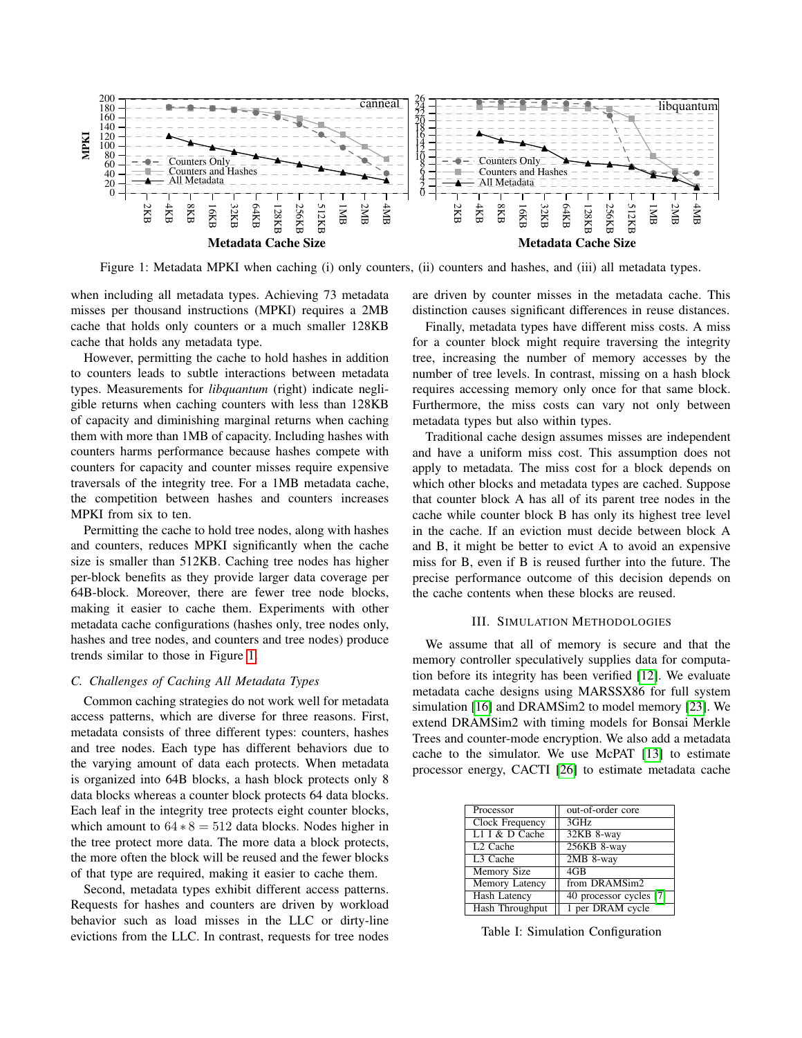<span id="page-2-0"></span>

Figure 1: Metadata MPKI when caching (i) only counters, (ii) counters and hashes, and (iii) all metadata types.

when including all metadata types. Achieving 73 metadata misses per thousand instructions (MPKI) requires a 2MB cache that holds only counters or a much smaller 128KB cache that holds any metadata type.

However, permitting the cache to hold hashes in addition to counters leads to subtle interactions between metadata types. Measurements for *libquantum* (right) indicate negligible returns when caching counters with less than 128KB of capacity and diminishing marginal returns when caching them with more than 1MB of capacity. Including hashes with counters harms performance because hashes compete with counters for capacity and counter misses require expensive traversals of the integrity tree. For a 1MB metadata cache, the competition between hashes and counters increases MPKI from six to ten.

Permitting the cache to hold tree nodes, along with hashes and counters, reduces MPKI significantly when the cache size is smaller than 512KB. Caching tree nodes has higher per-block benefits as they provide larger data coverage per 64B-block. Moreover, there are fewer tree node blocks, making it easier to cache them. Experiments with other metadata cache configurations (hashes only, tree nodes only, hashes and tree nodes, and counters and tree nodes) produce trends similar to those in Figure [1.](#page-2-0)

#### *C. Challenges of Caching All Metadata Types*

Common caching strategies do not work well for metadata access patterns, which are diverse for three reasons. First, metadata consists of three different types: counters, hashes and tree nodes. Each type has different behaviors due to the varying amount of data each protects. When metadata is organized into 64B blocks, a hash block protects only 8 data blocks whereas a counter block protects 64 data blocks. Each leaf in the integrity tree protects eight counter blocks, which amount to  $64 \times 8 = 512$  data blocks. Nodes higher in the tree protect more data. The more data a block protects, the more often the block will be reused and the fewer blocks of that type are required, making it easier to cache them.

Second, metadata types exhibit different access patterns. Requests for hashes and counters are driven by workload behavior such as load misses in the LLC or dirty-line evictions from the LLC. In contrast, requests for tree nodes are driven by counter misses in the metadata cache. This distinction causes significant differences in reuse distances.

Finally, metadata types have different miss costs. A miss for a counter block might require traversing the integrity tree, increasing the number of memory accesses by the number of tree levels. In contrast, missing on a hash block requires accessing memory only once for that same block. Furthermore, the miss costs can vary not only between metadata types but also within types.

Traditional cache design assumes misses are independent and have a uniform miss cost. This assumption does not apply to metadata. The miss cost for a block depends on which other blocks and metadata types are cached. Suppose that counter block A has all of its parent tree nodes in the cache while counter block B has only its highest tree level in the cache. If an eviction must decide between block A and B, it might be better to evict A to avoid an expensive miss for B, even if B is reused further into the future. The precise performance outcome of this decision depends on the cache contents when these blocks are reused.

#### III. SIMULATION METHODOLOGIES

We assume that all of memory is secure and that the memory controller speculatively supplies data for computation before its integrity has been verified [\[12\]](#page-10-5). We evaluate metadata cache designs using MARSSX86 for full system simulation [\[16\]](#page-10-15) and DRAMSim2 to model memory [\[23\]](#page-10-16). We extend DRAMSim2 with timing models for Bonsai Merkle Trees and counter-mode encryption. We also add a metadata cache to the simulator. We use McPAT [\[13\]](#page-10-17) to estimate processor energy, CACTI [\[26\]](#page-10-14) to estimate metadata cache

<span id="page-2-1"></span>

| Processor             | out-of-order core       |
|-----------------------|-------------------------|
| Clock Frequency       | 3GHz                    |
| L1 I & D Cache        | $32KB$ 8-way            |
| L <sub>2</sub> Cache  | 256KB 8-way             |
| $\overline{L3}$ Cache | $2MB$ 8-way             |
| Memory Size           | $4G$ B                  |
| Memory Latency        | from DRAMSim2           |
| Hash Latency          | 40 processor cycles [7] |
| Hash Throughput       | 1 per DRAM cycle        |

Table I: Simulation Configuration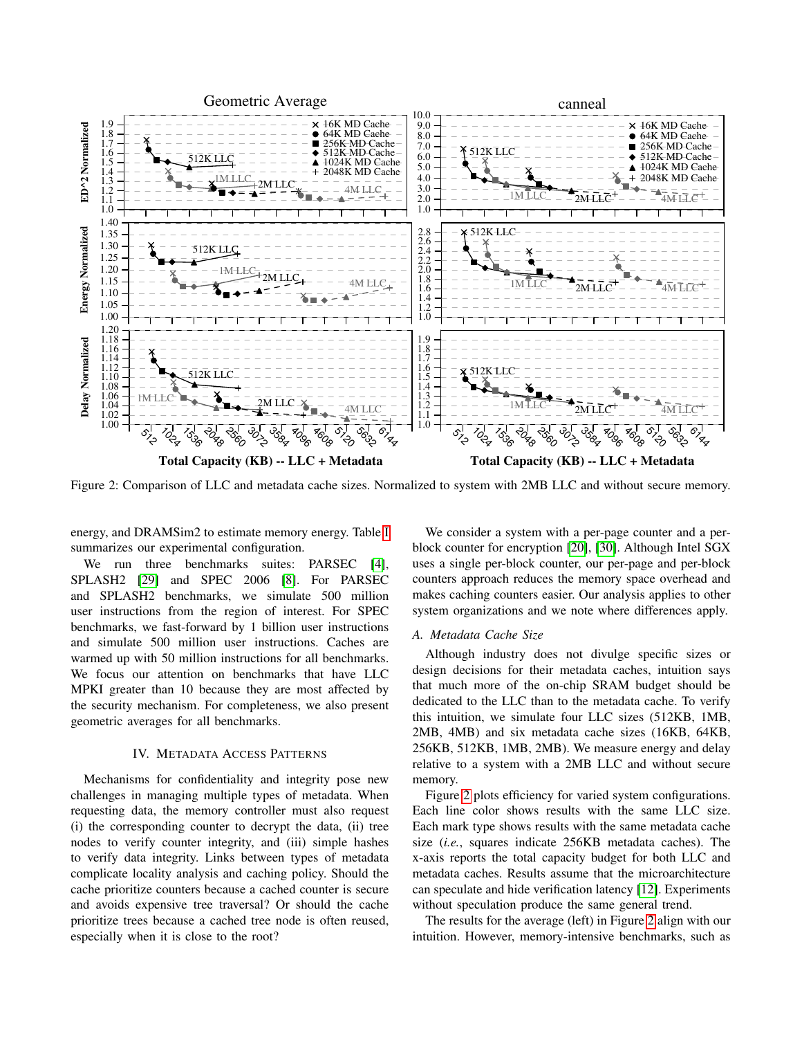<span id="page-3-0"></span>

Figure 2: Comparison of LLC and metadata cache sizes. Normalized to system with 2MB LLC and without secure memory.

energy, and DRAMSim2 to estimate memory energy. Table [I](#page-2-1) summarizes our experimental configuration.

We run three benchmarks suites: PARSEC [\[4\]](#page-10-19), SPLASH2 [\[29\]](#page-10-20) and SPEC 2006 [\[8\]](#page-10-21). For PARSEC and SPLASH2 benchmarks, we simulate 500 million user instructions from the region of interest. For SPEC benchmarks, we fast-forward by 1 billion user instructions and simulate 500 million user instructions. Caches are warmed up with 50 million instructions for all benchmarks. We focus our attention on benchmarks that have LLC MPKI greater than 10 because they are most affected by the security mechanism. For completeness, we also present geometric averages for all benchmarks.

#### IV. METADATA ACCESS PATTERNS

Mechanisms for confidentiality and integrity pose new challenges in managing multiple types of metadata. When requesting data, the memory controller must also request (i) the corresponding counter to decrypt the data, (ii) tree nodes to verify counter integrity, and (iii) simple hashes to verify data integrity. Links between types of metadata complicate locality analysis and caching policy. Should the cache prioritize counters because a cached counter is secure and avoids expensive tree traversal? Or should the cache prioritize trees because a cached tree node is often reused, especially when it is close to the root?

We consider a system with a per-page counter and a perblock counter for encryption [\[20\]](#page-10-3), [\[30\]](#page-10-1). Although Intel SGX uses a single per-block counter, our per-page and per-block counters approach reduces the memory space overhead and makes caching counters easier. Our analysis applies to other system organizations and we note where differences apply.

# *A. Metadata Cache Size*

Although industry does not divulge specific sizes or design decisions for their metadata caches, intuition says that much more of the on-chip SRAM budget should be dedicated to the LLC than to the metadata cache. To verify this intuition, we simulate four LLC sizes (512KB, 1MB, 2MB, 4MB) and six metadata cache sizes (16KB, 64KB, 256KB, 512KB, 1MB, 2MB). We measure energy and delay relative to a system with a 2MB LLC and without secure memory.

Figure [2](#page-3-0) plots efficiency for varied system configurations. Each line color shows results with the same LLC size. Each mark type shows results with the same metadata cache size (*i.e.*, squares indicate 256KB metadata caches). The x-axis reports the total capacity budget for both LLC and metadata caches. Results assume that the microarchitecture can speculate and hide verification latency [\[12\]](#page-10-5). Experiments without speculation produce the same general trend.

The results for the average (left) in Figure [2](#page-3-0) align with our intuition. However, memory-intensive benchmarks, such as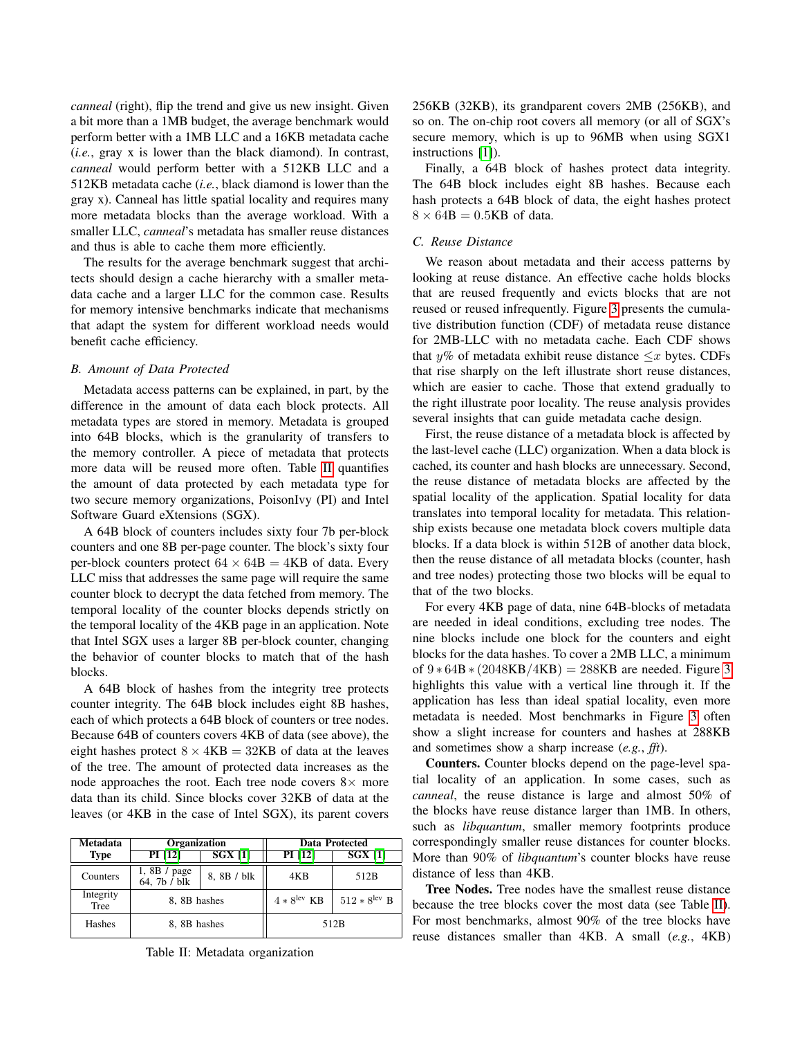*canneal* (right), flip the trend and give us new insight. Given a bit more than a 1MB budget, the average benchmark would perform better with a 1MB LLC and a 16KB metadata cache (*i.e.*, gray x is lower than the black diamond). In contrast, *canneal* would perform better with a 512KB LLC and a 512KB metadata cache (*i.e.*, black diamond is lower than the gray x). Canneal has little spatial locality and requires many more metadata blocks than the average workload. With a smaller LLC, *canneal*'s metadata has smaller reuse distances and thus is able to cache them more efficiently.

The results for the average benchmark suggest that architects should design a cache hierarchy with a smaller metadata cache and a larger LLC for the common case. Results for memory intensive benchmarks indicate that mechanisms that adapt the system for different workload needs would benefit cache efficiency.

#### *B. Amount of Data Protected*

Metadata access patterns can be explained, in part, by the difference in the amount of data each block protects. All metadata types are stored in memory. Metadata is grouped into 64B blocks, which is the granularity of transfers to the memory controller. A piece of metadata that protects more data will be reused more often. Table [II](#page-4-0) quantifies the amount of data protected by each metadata type for two secure memory organizations, PoisonIvy (PI) and Intel Software Guard eXtensions (SGX).

A 64B block of counters includes sixty four 7b per-block counters and one 8B per-page counter. The block's sixty four per-block counters protect  $64 \times 64B = 4KB$  of data. Every LLC miss that addresses the same page will require the same counter block to decrypt the data fetched from memory. The temporal locality of the counter blocks depends strictly on the temporal locality of the 4KB page in an application. Note that Intel SGX uses a larger 8B per-block counter, changing the behavior of counter blocks to match that of the hash blocks.

A 64B block of hashes from the integrity tree protects counter integrity. The 64B block includes eight 8B hashes, each of which protects a 64B block of counters or tree nodes. Because 64B of counters covers 4KB of data (see above), the eight hashes protect  $8 \times 4KB = 32KB$  of data at the leaves of the tree. The amount of protected data increases as the node approaches the root. Each tree node covers  $8 \times$  more data than its child. Since blocks cover 32KB of data at the leaves (or 4KB in the case of Intel SGX), its parent covers

<span id="page-4-0"></span>

| Metadata          | Organization                                 |             | <b>Data Protected</b>     |                            |
|-------------------|----------------------------------------------|-------------|---------------------------|----------------------------|
| <b>Type</b>       | <b>PI</b> [12]                               | $SGX$ [1]   | <b>PI</b> [12]            | <b>SGX [1]</b>             |
| Counters          | 1, 8B / page<br>$64$ , 7b $\overline{I}$ blk | 8, 8B / blk | 4KB                       | 512B                       |
| Integrity<br>Tree | 8, 8B hashes                                 |             | $4 * 8$ <sup>lev</sup> KB | $512 * 8$ <sup>lev</sup> B |
| Hashes            | 8, 8B hashes                                 |             | 512B                      |                            |

Table II: Metadata organization

256KB (32KB), its grandparent covers 2MB (256KB), and so on. The on-chip root covers all memory (or all of SGX's secure memory, which is up to 96MB when using SGX1 instructions [\[1\]](#page-9-0)).

Finally, a 64B block of hashes protect data integrity. The 64B block includes eight 8B hashes. Because each hash protects a 64B block of data, the eight hashes protect  $8 \times 64B = 0.5KB$  of data.

### <span id="page-4-1"></span>*C. Reuse Distance*

We reason about metadata and their access patterns by looking at reuse distance. An effective cache holds blocks that are reused frequently and evicts blocks that are not reused or reused infrequently. Figure [3](#page-5-0) presents the cumulative distribution function (CDF) of metadata reuse distance for 2MB-LLC with no metadata cache. Each CDF shows that  $\psi\%$  of metadata exhibit reuse distance  $\leq x$  bytes. CDFs that rise sharply on the left illustrate short reuse distances, which are easier to cache. Those that extend gradually to the right illustrate poor locality. The reuse analysis provides several insights that can guide metadata cache design.

First, the reuse distance of a metadata block is affected by the last-level cache (LLC) organization. When a data block is cached, its counter and hash blocks are unnecessary. Second, the reuse distance of metadata blocks are affected by the spatial locality of the application. Spatial locality for data translates into temporal locality for metadata. This relationship exists because one metadata block covers multiple data blocks. If a data block is within 512B of another data block, then the reuse distance of all metadata blocks (counter, hash and tree nodes) protecting those two blocks will be equal to that of the two blocks.

For every 4KB page of data, nine 64B-blocks of metadata are needed in ideal conditions, excluding tree nodes. The nine blocks include one block for the counters and eight blocks for the data hashes. To cover a 2MB LLC, a minimum of  $9 * 64B * (2048KB/4KB) = 288KB$  are needed. Figure [3](#page-5-0) highlights this value with a vertical line through it. If the application has less than ideal spatial locality, even more metadata is needed. Most benchmarks in Figure [3](#page-5-0) often show a slight increase for counters and hashes at 288KB and sometimes show a sharp increase (*e.g.*, *fft*).

Counters. Counter blocks depend on the page-level spatial locality of an application. In some cases, such as *canneal*, the reuse distance is large and almost 50% of the blocks have reuse distance larger than 1MB. In others, such as *libquantum*, smaller memory footprints produce correspondingly smaller reuse distances for counter blocks. More than 90% of *libquantum*'s counter blocks have reuse distance of less than 4KB.

Tree Nodes. Tree nodes have the smallest reuse distance because the tree blocks cover the most data (see Table [II\)](#page-4-0). For most benchmarks, almost 90% of the tree blocks have reuse distances smaller than 4KB. A small (*e.g.*, 4KB)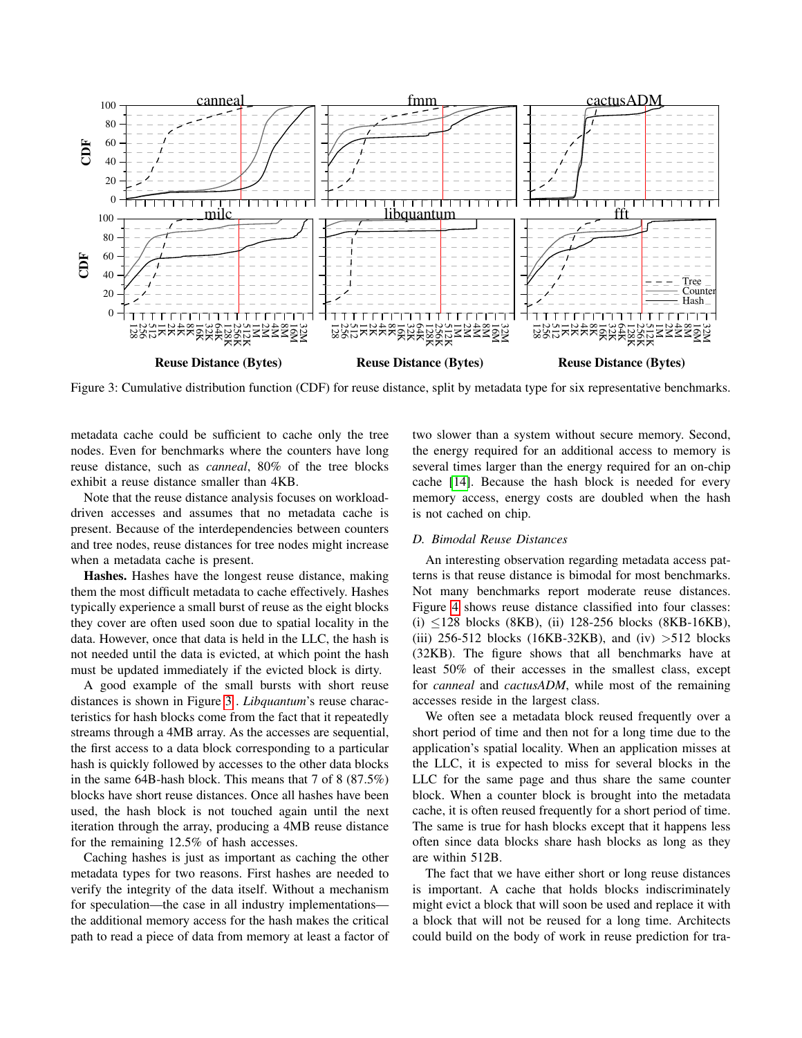<span id="page-5-0"></span>

Figure 3: Cumulative distribution function (CDF) for reuse distance, split by metadata type for six representative benchmarks.

metadata cache could be sufficient to cache only the tree nodes. Even for benchmarks where the counters have long reuse distance, such as *canneal*, 80% of the tree blocks exhibit a reuse distance smaller than 4KB.

Note that the reuse distance analysis focuses on workloaddriven accesses and assumes that no metadata cache is present. Because of the interdependencies between counters and tree nodes, reuse distances for tree nodes might increase when a metadata cache is present.

Hashes. Hashes have the longest reuse distance, making them the most difficult metadata to cache effectively. Hashes typically experience a small burst of reuse as the eight blocks they cover are often used soon due to spatial locality in the data. However, once that data is held in the LLC, the hash is not needed until the data is evicted, at which point the hash must be updated immediately if the evicted block is dirty.

A good example of the small bursts with short reuse distances is shown in Figure [3](#page-5-0) . *Libquantum*'s reuse characteristics for hash blocks come from the fact that it repeatedly streams through a 4MB array. As the accesses are sequential, the first access to a data block corresponding to a particular hash is quickly followed by accesses to the other data blocks in the same 64B-hash block. This means that 7 of 8 (87.5%) blocks have short reuse distances. Once all hashes have been used, the hash block is not touched again until the next iteration through the array, producing a 4MB reuse distance for the remaining 12.5% of hash accesses.

Caching hashes is just as important as caching the other metadata types for two reasons. First hashes are needed to verify the integrity of the data itself. Without a mechanism for speculation—the case in all industry implementations the additional memory access for the hash makes the critical path to read a piece of data from memory at least a factor of two slower than a system without secure memory. Second, the energy required for an additional access to memory is several times larger than the energy required for an on-chip cache [\[14\]](#page-10-13). Because the hash block is needed for every memory access, energy costs are doubled when the hash is not cached on chip.

### *D. Bimodal Reuse Distances*

An interesting observation regarding metadata access patterns is that reuse distance is bimodal for most benchmarks. Not many benchmarks report moderate reuse distances. Figure [4](#page-6-0) shows reuse distance classified into four classes: (i)  $\leq$ 128 blocks (8KB), (ii) 128-256 blocks (8KB-16KB), (iii) 256-512 blocks (16KB-32KB), and (iv)  $>512$  blocks (32KB). The figure shows that all benchmarks have at least 50% of their accesses in the smallest class, except for *canneal* and *cactusADM*, while most of the remaining accesses reside in the largest class.

We often see a metadata block reused frequently over a short period of time and then not for a long time due to the application's spatial locality. When an application misses at the LLC, it is expected to miss for several blocks in the LLC for the same page and thus share the same counter block. When a counter block is brought into the metadata cache, it is often reused frequently for a short period of time. The same is true for hash blocks except that it happens less often since data blocks share hash blocks as long as they are within 512B.

The fact that we have either short or long reuse distances is important. A cache that holds blocks indiscriminately might evict a block that will soon be used and replace it with a block that will not be reused for a long time. Architects could build on the body of work in reuse prediction for tra-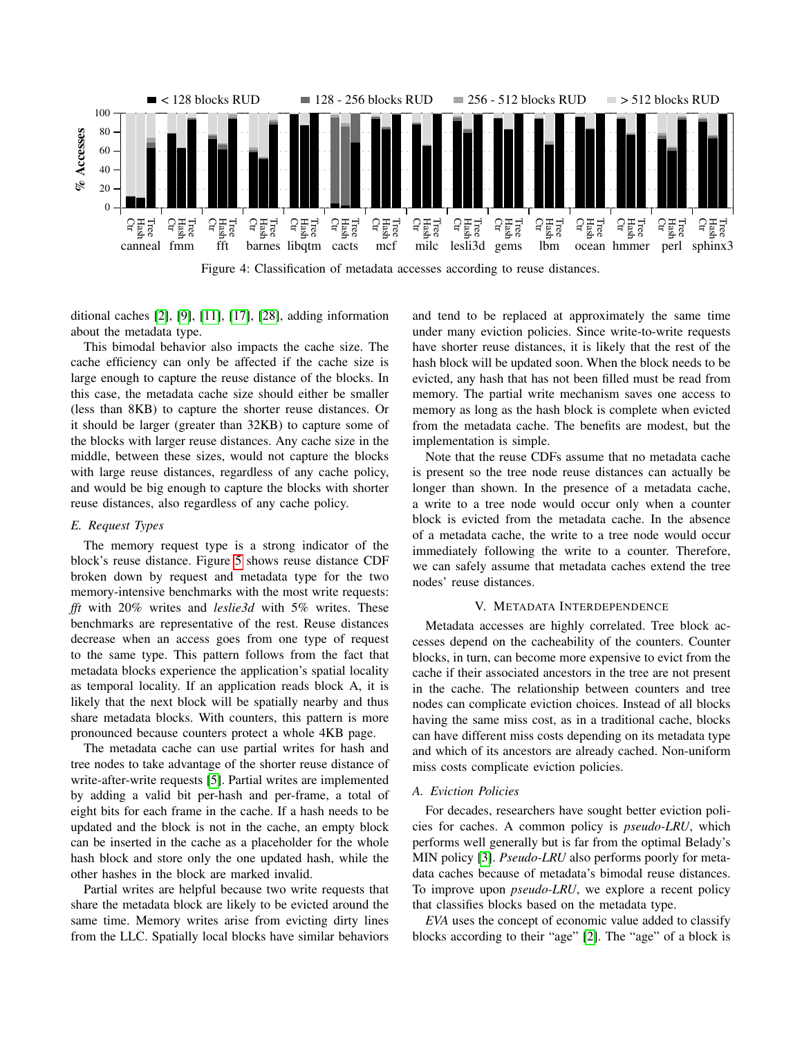<span id="page-6-0"></span>

Figure 4: Classification of metadata accesses according to reuse distances.

ditional caches [\[2\]](#page-9-1), [\[9\]](#page-10-22), [\[11\]](#page-10-23), [\[17\]](#page-10-24), [\[28\]](#page-10-25), adding information about the metadata type.

This bimodal behavior also impacts the cache size. The cache efficiency can only be affected if the cache size is large enough to capture the reuse distance of the blocks. In this case, the metadata cache size should either be smaller (less than 8KB) to capture the shorter reuse distances. Or it should be larger (greater than 32KB) to capture some of the blocks with larger reuse distances. Any cache size in the middle, between these sizes, would not capture the blocks with large reuse distances, regardless of any cache policy, and would be big enough to capture the blocks with shorter reuse distances, also regardless of any cache policy.

### *E. Request Types*

The memory request type is a strong indicator of the block's reuse distance. Figure [5](#page-7-0) shows reuse distance CDF broken down by request and metadata type for the two memory-intensive benchmarks with the most write requests: *fft* with 20% writes and *leslie3d* with 5% writes. These benchmarks are representative of the rest. Reuse distances decrease when an access goes from one type of request to the same type. This pattern follows from the fact that metadata blocks experience the application's spatial locality as temporal locality. If an application reads block A, it is likely that the next block will be spatially nearby and thus share metadata blocks. With counters, this pattern is more pronounced because counters protect a whole 4KB page.

The metadata cache can use partial writes for hash and tree nodes to take advantage of the shorter reuse distance of write-after-write requests [\[5\]](#page-10-4). Partial writes are implemented by adding a valid bit per-hash and per-frame, a total of eight bits for each frame in the cache. If a hash needs to be updated and the block is not in the cache, an empty block can be inserted in the cache as a placeholder for the whole hash block and store only the one updated hash, while the other hashes in the block are marked invalid.

Partial writes are helpful because two write requests that share the metadata block are likely to be evicted around the same time. Memory writes arise from evicting dirty lines from the LLC. Spatially local blocks have similar behaviors and tend to be replaced at approximately the same time under many eviction policies. Since write-to-write requests have shorter reuse distances, it is likely that the rest of the hash block will be updated soon. When the block needs to be evicted, any hash that has not been filled must be read from memory. The partial write mechanism saves one access to memory as long as the hash block is complete when evicted from the metadata cache. The benefits are modest, but the implementation is simple.

Note that the reuse CDFs assume that no metadata cache is present so the tree node reuse distances can actually be longer than shown. In the presence of a metadata cache, a write to a tree node would occur only when a counter block is evicted from the metadata cache. In the absence of a metadata cache, the write to a tree node would occur immediately following the write to a counter. Therefore, we can safely assume that metadata caches extend the tree nodes' reuse distances.

### V. METADATA INTERDEPENDENCE

Metadata accesses are highly correlated. Tree block accesses depend on the cacheability of the counters. Counter blocks, in turn, can become more expensive to evict from the cache if their associated ancestors in the tree are not present in the cache. The relationship between counters and tree nodes can complicate eviction choices. Instead of all blocks having the same miss cost, as in a traditional cache, blocks can have different miss costs depending on its metadata type and which of its ancestors are already cached. Non-uniform miss costs complicate eviction policies.

### *A. Eviction Policies*

For decades, researchers have sought better eviction policies for caches. A common policy is *pseudo-LRU*, which performs well generally but is far from the optimal Belady's MIN policy [\[3\]](#page-10-12). *Pseudo-LRU* also performs poorly for metadata caches because of metadata's bimodal reuse distances. To improve upon *pseudo-LRU*, we explore a recent policy that classifies blocks based on the metadata type.

*EVA* uses the concept of economic value added to classify blocks according to their "age" [\[2\]](#page-9-1). The "age" of a block is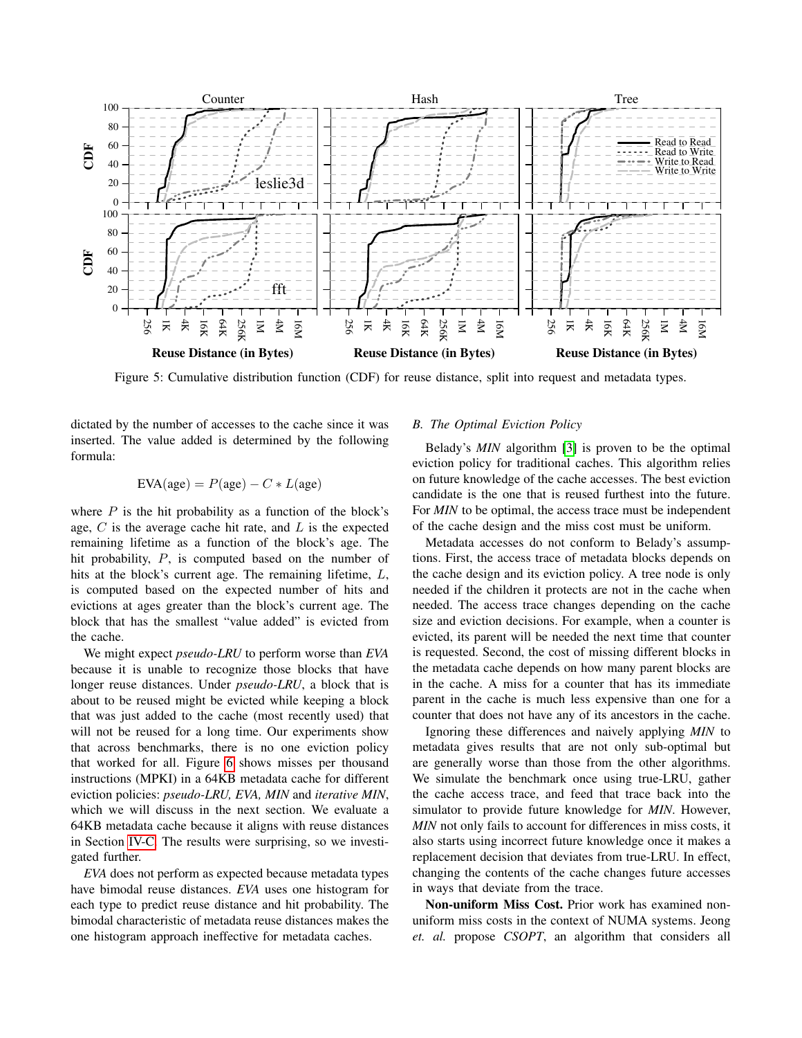<span id="page-7-0"></span>

Figure 5: Cumulative distribution function (CDF) for reuse distance, split into request and metadata types.

dictated by the number of accesses to the cache since it was inserted. The value added is determined by the following formula:

$$
EVA(age) = P(age) - C * L(age)
$$

where  $P$  is the hit probability as a function of the block's age,  $C$  is the average cache hit rate, and  $L$  is the expected remaining lifetime as a function of the block's age. The hit probability, P, is computed based on the number of hits at the block's current age. The remaining lifetime, L, is computed based on the expected number of hits and evictions at ages greater than the block's current age. The block that has the smallest "value added" is evicted from the cache.

We might expect *pseudo-LRU* to perform worse than *EVA* because it is unable to recognize those blocks that have longer reuse distances. Under *pseudo-LRU*, a block that is about to be reused might be evicted while keeping a block that was just added to the cache (most recently used) that will not be reused for a long time. Our experiments show that across benchmarks, there is no one eviction policy that worked for all. Figure [6](#page-8-0) shows misses per thousand instructions (MPKI) in a 64KB metadata cache for different eviction policies: *pseudo-LRU, EVA, MIN* and *iterative MIN*, which we will discuss in the next section. We evaluate a 64KB metadata cache because it aligns with reuse distances in Section [IV-C.](#page-4-1) The results were surprising, so we investigated further.

*EVA* does not perform as expected because metadata types have bimodal reuse distances. *EVA* uses one histogram for each type to predict reuse distance and hit probability. The bimodal characteristic of metadata reuse distances makes the one histogram approach ineffective for metadata caches.

### *B. The Optimal Eviction Policy*

Belady's *MIN* algorithm [\[3\]](#page-10-12) is proven to be the optimal eviction policy for traditional caches. This algorithm relies on future knowledge of the cache accesses. The best eviction candidate is the one that is reused furthest into the future. For *MIN* to be optimal, the access trace must be independent of the cache design and the miss cost must be uniform.

Metadata accesses do not conform to Belady's assumptions. First, the access trace of metadata blocks depends on the cache design and its eviction policy. A tree node is only needed if the children it protects are not in the cache when needed. The access trace changes depending on the cache size and eviction decisions. For example, when a counter is evicted, its parent will be needed the next time that counter is requested. Second, the cost of missing different blocks in the metadata cache depends on how many parent blocks are in the cache. A miss for a counter that has its immediate parent in the cache is much less expensive than one for a counter that does not have any of its ancestors in the cache.

Ignoring these differences and naively applying *MIN* to metadata gives results that are not only sub-optimal but are generally worse than those from the other algorithms. We simulate the benchmark once using true-LRU, gather the cache access trace, and feed that trace back into the simulator to provide future knowledge for *MIN*. However, *MIN* not only fails to account for differences in miss costs, it also starts using incorrect future knowledge once it makes a replacement decision that deviates from true-LRU. In effect, changing the contents of the cache changes future accesses in ways that deviate from the trace.

Non-uniform Miss Cost. Prior work has examined nonuniform miss costs in the context of NUMA systems. Jeong *et. al.* propose *CSOPT*, an algorithm that considers all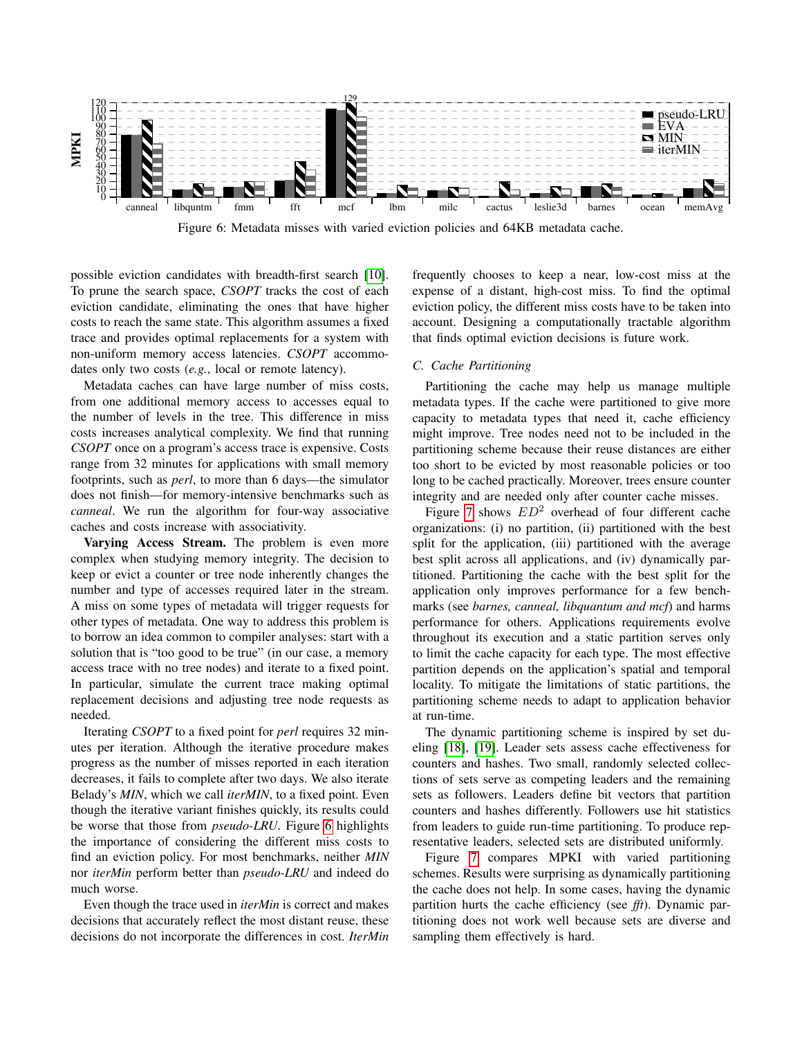<span id="page-8-0"></span>

Figure 6: Metadata misses with varied eviction policies and 64KB metadata cache.

possible eviction candidates with breadth-first search [\[10\]](#page-10-26). To prune the search space, *CSOPT* tracks the cost of each eviction candidate, eliminating the ones that have higher costs to reach the same state. This algorithm assumes a fixed trace and provides optimal replacements for a system with non-uniform memory access latencies. *CSOPT* accommodates only two costs (*e.g.*, local or remote latency).

Metadata caches can have large number of miss costs, from one additional memory access to accesses equal to the number of levels in the tree. This difference in miss costs increases analytical complexity. We find that running *CSOPT* once on a program's access trace is expensive. Costs range from 32 minutes for applications with small memory footprints, such as *perl*, to more than 6 days—the simulator does not finish—for memory-intensive benchmarks such as *canneal*. We run the algorithm for four-way associative caches and costs increase with associativity.

Varying Access Stream. The problem is even more complex when studying memory integrity. The decision to keep or evict a counter or tree node inherently changes the number and type of accesses required later in the stream. A miss on some types of metadata will trigger requests for other types of metadata. One way to address this problem is to borrow an idea common to compiler analyses: start with a solution that is "too good to be true" (in our case, a memory access trace with no tree nodes) and iterate to a fixed point. In particular, simulate the current trace making optimal replacement decisions and adjusting tree node requests as needed.

Iterating *CSOPT* to a fixed point for *perl* requires 32 minutes per iteration. Although the iterative procedure makes progress as the number of misses reported in each iteration decreases, it fails to complete after two days. We also iterate Belady's *MIN*, which we call *iterMIN*, to a fixed point. Even though the iterative variant finishes quickly, its results could be worse that those from *pseudo-LRU*. Figure [6](#page-8-0) highlights the importance of considering the different miss costs to find an eviction policy. For most benchmarks, neither *MIN* nor *iterMin* perform better than *pseudo-LRU* and indeed do much worse.

Even though the trace used in *iterMin* is correct and makes decisions that accurately reflect the most distant reuse, these decisions do not incorporate the differences in cost. *IterMin* frequently chooses to keep a near, low-cost miss at the expense of a distant, high-cost miss. To find the optimal eviction policy, the different miss costs have to be taken into account. Designing a computationally tractable algorithm that finds optimal eviction decisions is future work.

### *C. Cache Partitioning*

Partitioning the cache may help us manage multiple metadata types. If the cache were partitioned to give more capacity to metadata types that need it, cache efficiency might improve. Tree nodes need not to be included in the partitioning scheme because their reuse distances are either too short to be evicted by most reasonable policies or too long to be cached practically. Moreover, trees ensure counter integrity and are needed only after counter cache misses.

Figure [7](#page-9-2) shows  $ED^2$  overhead of four different cache organizations: (i) no partition, (ii) partitioned with the best split for the application, (iii) partitioned with the average best split across all applications, and (iv) dynamically partitioned. Partitioning the cache with the best split for the application only improves performance for a few benchmarks (see *barnes, canneal, libquantum and mcf*) and harms performance for others. Applications requirements evolve throughout its execution and a static partition serves only to limit the cache capacity for each type. The most effective partition depends on the application's spatial and temporal locality. To mitigate the limitations of static partitions, the partitioning scheme needs to adapt to application behavior at run-time.

The dynamic partitioning scheme is inspired by set dueling [\[18\]](#page-10-27), [\[19\]](#page-10-28). Leader sets assess cache effectiveness for counters and hashes. Two small, randomly selected collections of sets serve as competing leaders and the remaining sets as followers. Leaders define bit vectors that partition counters and hashes differently. Followers use hit statistics from leaders to guide run-time partitioning. To produce representative leaders, selected sets are distributed uniformly.

Figure [7](#page-9-2) compares MPKI with varied partitioning schemes. Results were surprising as dynamically partitioning the cache does not help. In some cases, having the dynamic partition hurts the cache efficiency (see *fft*). Dynamic partitioning does not work well because sets are diverse and sampling them effectively is hard.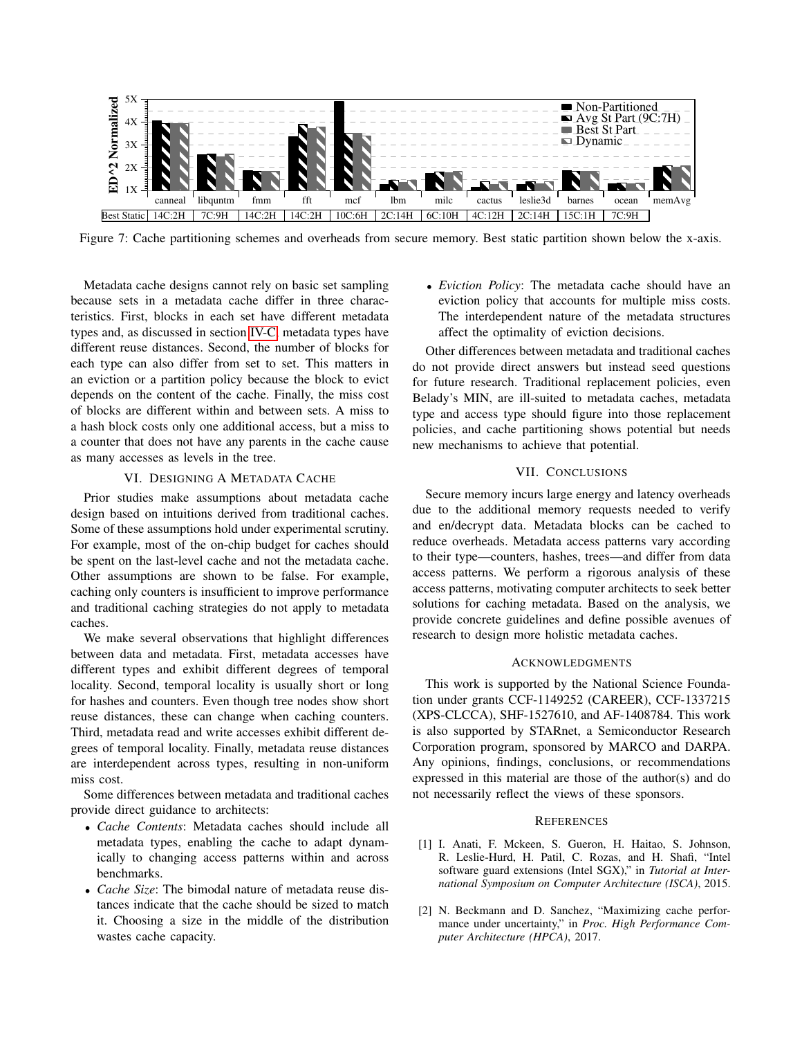<span id="page-9-2"></span>

Figure 7: Cache partitioning schemes and overheads from secure memory. Best static partition shown below the x-axis.

Metadata cache designs cannot rely on basic set sampling because sets in a metadata cache differ in three characteristics. First, blocks in each set have different metadata types and, as discussed in section [IV-C,](#page-4-1) metadata types have different reuse distances. Second, the number of blocks for each type can also differ from set to set. This matters in an eviction or a partition policy because the block to evict depends on the content of the cache. Finally, the miss cost of blocks are different within and between sets. A miss to a hash block costs only one additional access, but a miss to a counter that does not have any parents in the cache cause as many accesses as levels in the tree.

### VI. DESIGNING A METADATA CACHE

Prior studies make assumptions about metadata cache design based on intuitions derived from traditional caches. Some of these assumptions hold under experimental scrutiny. For example, most of the on-chip budget for caches should be spent on the last-level cache and not the metadata cache. Other assumptions are shown to be false. For example, caching only counters is insufficient to improve performance and traditional caching strategies do not apply to metadata caches.

We make several observations that highlight differences between data and metadata. First, metadata accesses have different types and exhibit different degrees of temporal locality. Second, temporal locality is usually short or long for hashes and counters. Even though tree nodes show short reuse distances, these can change when caching counters. Third, metadata read and write accesses exhibit different degrees of temporal locality. Finally, metadata reuse distances are interdependent across types, resulting in non-uniform miss cost.

Some differences between metadata and traditional caches provide direct guidance to architects:

- *Cache Contents*: Metadata caches should include all metadata types, enabling the cache to adapt dynamically to changing access patterns within and across benchmarks.
- *Cache Size*: The bimodal nature of metadata reuse distances indicate that the cache should be sized to match it. Choosing a size in the middle of the distribution wastes cache capacity.

• *Eviction Policy*: The metadata cache should have an eviction policy that accounts for multiple miss costs. The interdependent nature of the metadata structures affect the optimality of eviction decisions.

Other differences between metadata and traditional caches do not provide direct answers but instead seed questions for future research. Traditional replacement policies, even Belady's MIN, are ill-suited to metadata caches, metadata type and access type should figure into those replacement policies, and cache partitioning shows potential but needs new mechanisms to achieve that potential.

# VII. CONCLUSIONS

Secure memory incurs large energy and latency overheads due to the additional memory requests needed to verify and en/decrypt data. Metadata blocks can be cached to reduce overheads. Metadata access patterns vary according to their type—counters, hashes, trees—and differ from data access patterns. We perform a rigorous analysis of these access patterns, motivating computer architects to seek better solutions for caching metadata. Based on the analysis, we provide concrete guidelines and define possible avenues of research to design more holistic metadata caches.

#### ACKNOWLEDGMENTS

This work is supported by the National Science Foundation under grants CCF-1149252 (CAREER), CCF-1337215 (XPS-CLCCA), SHF-1527610, and AF-1408784. This work is also supported by STARnet, a Semiconductor Research Corporation program, sponsored by MARCO and DARPA. Any opinions, findings, conclusions, or recommendations expressed in this material are those of the author(s) and do not necessarily reflect the views of these sponsors.

#### **REFERENCES**

- <span id="page-9-0"></span>[1] I. Anati, F. Mckeen, S. Gueron, H. Haitao, S. Johnson, R. Leslie-Hurd, H. Patil, C. Rozas, and H. Shafi, "Intel software guard extensions (Intel SGX)," in *Tutorial at International Symposium on Computer Architecture (ISCA)*, 2015.
- <span id="page-9-1"></span>[2] N. Beckmann and D. Sanchez, "Maximizing cache performance under uncertainty," in *Proc. High Performance Computer Architecture (HPCA)*, 2017.